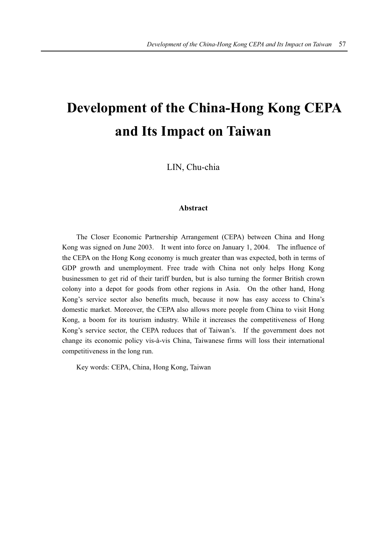# **Development of the China-Hong Kong CEPA and Its Impact on Taiwan**

LIN, Chu-chia

## **Abstract**

The Closer Economic Partnership Arrangement (CEPA) between China and Hong Kong was signed on June 2003. It went into force on January 1, 2004. The influence of the CEPA on the Hong Kong economy is much greater than was expected, both in terms of GDP growth and unemployment. Free trade with China not only helps Hong Kong businessmen to get rid of their tariff burden, but is also turning the former British crown colony into a depot for goods from other regions in Asia. On the other hand, Hong Kong's service sector also benefits much, because it now has easy access to China's domestic market. Moreover, the CEPA also allows more people from China to visit Hong Kong, a boom for its tourism industry. While it increases the competitiveness of Hong Kong's service sector, the CEPA reduces that of Taiwan's. If the government does not change its economic policy vis-à-vis China, Taiwanese firms will loss their international competitiveness in the long run.

Key words: CEPA, China, Hong Kong, Taiwan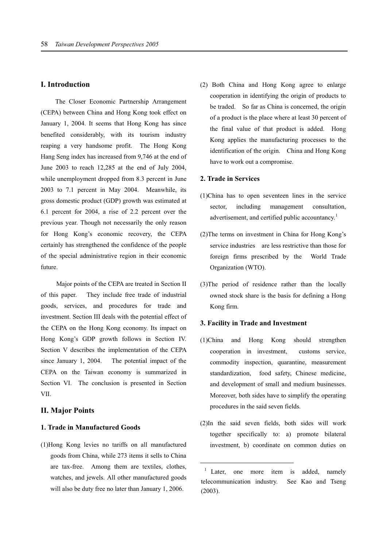# **I. Introduction**

The Closer Economic Partnership Arrangement (CEPA) between China and Hong Kong took effect on January 1, 2004. It seems that Hong Kong has since benefited considerably, with its tourism industry reaping a very handsome profit. The Hong Kong Hang Seng index has increased from 9,746 at the end of June 2003 to reach 12,285 at the end of July 2004, while unemployment dropped from 8.3 percent in June 2003 to 7.1 percent in May 2004. Meanwhile, its gross domestic product (GDP) growth was estimated at 6.1 percent for 2004, a rise of 2.2 percent over the previous year. Though not necessarily the only reason for Hong Kong's economic recovery, the CEPA certainly has strengthened the confidence of the people of the special administrative region in their economic future.

Major points of the CEPA are treated in Section II of this paper. They include free trade of industrial goods, services, and procedures for trade and investment. Section III deals with the potential effect of the CEPA on the Hong Kong economy. Its impact on Hong Kong's GDP growth follows in Section IV. Section V describes the implementation of the CEPA since January 1, 2004. The potential impact of the CEPA on the Taiwan economy is summarized in Section VI. The conclusion is presented in Section VII.

# **II. Major Points**

## **1. Trade in Manufactured Goods**

(1)Hong Kong levies no tariffs on all manufactured goods from China, while 273 items it sells to China are tax-free. Among them are textiles, clothes, watches, and jewels. All other manufactured goods will also be duty free no later than January 1, 2006.

(2) Both China and Hong Kong agree to enlarge cooperation in identifying the origin of products to be traded. So far as China is concerned, the origin of a product is the place where at least 30 percent of the final value of that product is added. Hong Kong applies the manufacturing processes to the identification of the origin. China and Hong Kong have to work out a compromise.

#### **2. Trade in Services**

- (1)China has to open seventeen lines in the service sector, including management consultation, advertisement, and certified public accountancy.<sup>1</sup>
- (2)The terms on investment in China for Hong Kong's service industries are less restrictive than those for foreign firms prescribed by the World Trade Organization (WTO).
- (3)The period of residence rather than the locally owned stock share is the basis for defining a Hong Kong firm.

#### **3. Facility in Trade and Investment**

- (1)China and Hong Kong should strengthen cooperation in investment, customs service, commodity inspection, quarantine, measurement standardization, food safety, Chinese medicine, and development of small and medium businesses. Moreover, both sides have to simplify the operating procedures in the said seven fields.
- (2)In the said seven fields, both sides will work together specifically to: a) promote bilateral investment, b) coordinate on common duties on

 $\overline{a}$ 

<sup>&</sup>lt;sup>1</sup> Later, one more item is added, namely telecommunication industry. See Kao and Tseng (2003).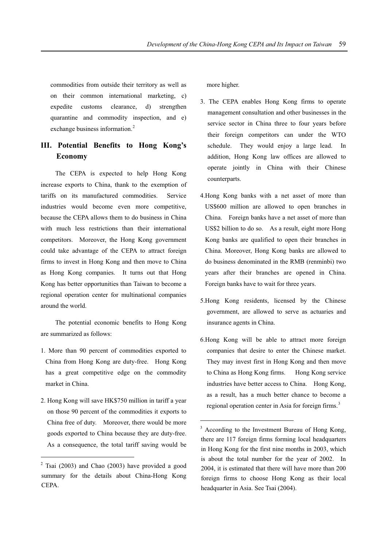commodities from outside their territory as well as on their common international marketing, c) expedite customs clearance, d) strengthen quarantine and commodity inspection, and e) exchange business information.<sup>2</sup>

# **III. Potential Benefits to Hong Kong's Economy**

The CEPA is expected to help Hong Kong increase exports to China, thank to the exemption of tariffs on its manufactured commodities. Service industries would become even more competitive, because the CEPA allows them to do business in China with much less restrictions than their international competitors. Moreover, the Hong Kong government could take advantage of the CEPA to attract foreign firms to invest in Hong Kong and then move to China as Hong Kong companies. It turns out that Hong Kong has better opportunities than Taiwan to become a regional operation center for multinational companies around the world.

The potential economic benefits to Hong Kong are summarized as follows:

- 1. More than 90 percent of commodities exported to China from Hong Kong are duty-free. Hong Kong has a great competitive edge on the commodity market in China.
- 2. Hong Kong will save HK\$750 million in tariff a year on those 90 percent of the commodities it exports to China free of duty. Moreover, there would be more goods exported to China because they are duty-free. As a consequence, the total tariff saving would be

 $\overline{a}$ 

more higher.

- 3. The CEPA enables Hong Kong firms to operate management consultation and other businesses in the service sector in China three to four years before their foreign competitors can under the WTO schedule. They would enjoy a large lead. In addition, Hong Kong law offices are allowed to operate jointly in China with their Chinese counterparts.
- 4.Hong Kong banks with a net asset of more than US\$600 million are allowed to open branches in China. Foreign banks have a net asset of more than US\$2 billion to do so. As a result, eight more Hong Kong banks are qualified to open their branches in China. Moreover, Hong Kong banks are allowed to do business denominated in the RMB (renminbi) two years after their branches are opened in China. Foreign banks have to wait for three years.
- 5.Hong Kong residents, licensed by the Chinese government, are allowed to serve as actuaries and insurance agents in China.
- 6.Hong Kong will be able to attract more foreign companies that desire to enter the Chinese market. They may invest first in Hong Kong and then move to China as Hong Kong firms. Hong Kong service industries have better access to China. Hong Kong, as a result, has a much better chance to become a regional operation center in Asia for foreign firms.<sup>3</sup>

1

 $2$  Tsai (2003) and Chao (2003) have provided a good summary for the details about China-Hong Kong CEPA.

<sup>&</sup>lt;sup>3</sup> According to the Investment Bureau of Hong Kong, there are 117 foreign firms forming local headquarters in Hong Kong for the first nine months in 2003, which is about the total number for the year of 2002. In 2004, it is estimated that there will have more than 200 foreign firms to choose Hong Kong as their local headquarter in Asia. See Tsai (2004).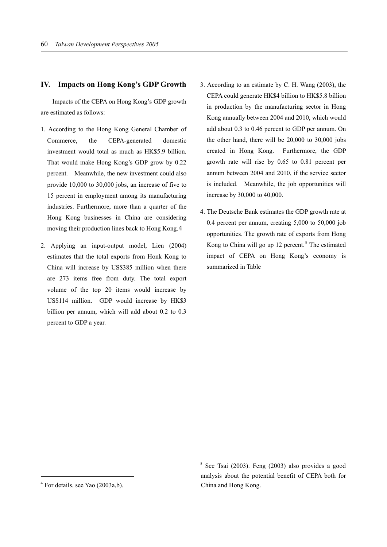# **IV. Impacts on Hong Kong's GDP Growth**

Impacts of the CEPA on Hong Kong's GDP growth are estimated as follows:

- 1. According to the Hong Kong General Chamber of Commerce, the CEPA-generated domestic investment would total as much as HK\$5.9 billion. That would make Hong Kong's GDP grow by 0.22 percent. Meanwhile, the new investment could also provide 10,000 to 30,000 jobs, an increase of five to 15 percent in employment among its manufacturing industries. Furthermore, more than a quarter of the Hong Kong businesses in China are considering moving their production lines back to Hong Kong.4
- 2. Applying an input-output model, Lien (2004) estimates that the total exports from Honk Kong to China will increase by US\$385 million when there are 273 items free from duty. The total export volume of the top 20 items would increase by US\$114 million. GDP would increase by HK\$3 billion per annum, which will add about 0.2 to 0.3 percent to GDP a year.
- 3. According to an estimate by C. H. Wang (2003), the CEPA could generate HK\$4 billion to HK\$5.8 billion in production by the manufacturing sector in Hong Kong annually between 2004 and 2010, which would add about 0.3 to 0.46 percent to GDP per annum. On the other hand, there will be 20,000 to 30,000 jobs created in Hong Kong. Furthermore, the GDP growth rate will rise by 0.65 to 0.81 percent per annum between 2004 and 2010, if the service sector is included. Meanwhile, the job opportunities will increase by 30,000 to 40,000.
- 4. The Deutsche Bank estimates the GDP growth rate at 0.4 percent per annum, creating 5,000 to 50,000 job opportunities. The growth rate of exports from Hong Kong to China will go up  $12$  percent.<sup>5</sup> The estimated impact of CEPA on Hong Kong's economy is summarized in Table

 $\overline{a}$ 

 $\overline{a}$ 

<sup>5</sup> See Tsai (2003). Feng (2003) also provides a good analysis about the potential benefit of CEPA both for China and Hong Kong.

<sup>&</sup>lt;sup>4</sup> For details, see Yao (2003a,b).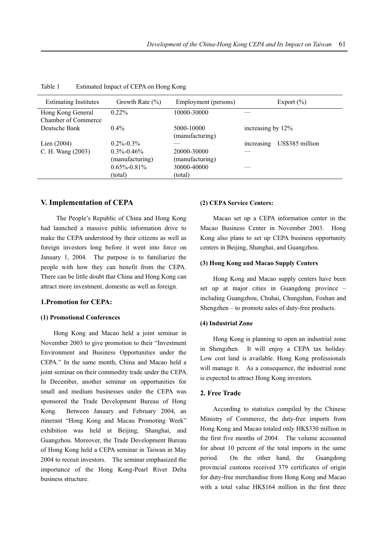| Growth Rate $(\% )$                 | Employment (persons)           | Export $(\% )$                |
|-------------------------------------|--------------------------------|-------------------------------|
| $0.22\%$                            | 10000-30000                    |                               |
| $0.4\%$                             | 5000-10000<br>(manufacturing)  | increasing by 12%             |
| $0.2\% - 0.3\%$                     |                                | US\$385 million<br>increasing |
| $0.3\% - 0.46\%$<br>(manufacturing) | 20000-30000<br>(manufacturing) |                               |
| $0.65\% - 0.81\%$                   | 30000-40000                    |                               |
| (total)                             | (total)                        |                               |
|                                     |                                |                               |

Table 1 Estimated Impact of CEPA on Hong Kong

## **V. Implementation of CEPA**

The People's Republic of China and Hong Kong had launched a massive public information drive to make the CEPA understood by their citizens as well as foreign investors long before it went into force on January 1, 2004. The purpose is to familiarize the people with how they can benefit from the CEPA. There can be little doubt that China and Hong Kong can attract more investment, domestic as well as foreign.

# **1.Promotion for CEPA:**

#### **(1) Promotional Conferences**

Hong Kong and Macao held a joint seminar in November 2003 to give promotion to their "Investment Environment and Business Opportunities under the CEPA." In the same month, China and Macao held a joint seminar on their commodity trade under the CEPA. In December, another seminar on opportunities for small and medium businesses under the CEPA was sponsored the Trade Development Bureau of Hong Kong. Between January and February 2004, an itinerant "Hong Kong and Macau Promoting Week" exhibition was held at Beijing, Shanghai, and Guangzhou. Moreover, the Trade Development Bureau of Hong Kong held a CEPA seminar in Taiwan in May 2004 to recruit investors. The seminar emphasized the importance of the Hong Kong-Pearl River Delta business structure.

# **(2) CEPA Service Centers:**

Macao set up a CEPA information center in the Macao Business Center in November 2003. Hong Kong also plans to set up CEPA business opportunity centers in Beijing, Shanghai, and Guangzhou.

#### **(3) Hong Kong and Macao Supply Centers**

Hong Kong and Macao supply centers have been set up at major cities in Guangdong province – including Guangzhou, Chuhai, Chungshan, Foshan and Shengzhen – to promote sales of duty-free products.

#### **(4) Industrial Zone**

Hong Kong is planning to open an industrial zone in Shengzhen. It will enjoy a CEPA tax holiday. Low cost land is available. Hong Kong professionals will manage it. As a consequence, the industrial zone is expected to attract Hong Kong investors.

#### **2. Free Trade**

According to statistics compiled by the Chinese Ministry of Commerce, the duty-free imports from Hong Kong and Macao totaled only HK\$330 million in the first five months of 2004. The volume accounted for about 10 percent of the total imports in the same period. On the other hand, the Guangdong provincial customs received 379 certificates of origin for duty-free merchandise from Hong Kong and Macao with a total value HK\$164 million in the first three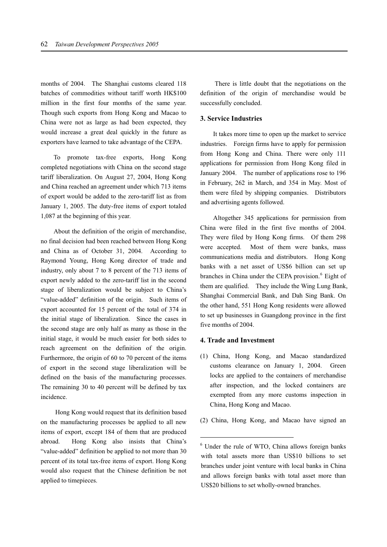months of 2004. The Shanghai customs cleared 118 batches of commodities without tariff worth HK\$100 million in the first four months of the same year. Though such exports from Hong Kong and Macao to China were not as large as had been expected, they would increase a great deal quickly in the future as exporters have learned to take advantage of the CEPA.

To promote tax-free exports, Hong Kong completed negotiations with China on the second stage tariff liberalization. On August 27, 2004, Hong Kong and China reached an agreement under which 713 items of export would be added to the zero-tariff list as from January 1, 2005. The duty-free items of export totaled 1,087 at the beginning of this year.

About the definition of the origin of merchandise, no final decision had been reached between Hong Kong and China as of October 31, 2004. According to Raymond Young, Hong Kong director of trade and industry, only about 7 to 8 percent of the 713 items of export newly added to the zero-tariff list in the second stage of liberalization would be subject to China's "value-added" definition of the origin. Such items of export accounted for 15 percent of the total of 374 in the initial stage of liberalization. Since the cases in the second stage are only half as many as those in the initial stage, it would be much easier for both sides to reach agreement on the definition of the origin. Furthermore, the origin of 60 to 70 percent of the items of export in the second stage liberalization will be defined on the basis of the manufacturing processes. The remaining 30 to 40 percent will be defined by tax incidence.

Hong Kong would request that its definition based on the manufacturing processes be applied to all new items of export, except 184 of them that are produced abroad. Hong Kong also insists that China's "value-added" definition be applied to not more than 30 percent of its total tax-free items of export. Hong Kong would also request that the Chinese definition be not applied to timepieces.

There is little doubt that the negotiations on the definition of the origin of merchandise would be successfully concluded.

# **3. Service Industries**

It takes more time to open up the market to service industries. Foreign firms have to apply for permission from Hong Kong and China. There were only 111 applications for permission from Hong Kong filed in January 2004. The number of applications rose to 196 in February, 262 in March, and 354 in May. Most of them were filed by shipping companies. Distributors and advertising agents followed.

Altogether 345 applications for permission from China were filed in the first five months of 2004. They were filed by Hong Kong firms. Of them 298 were accepted. Most of them were banks, mass communications media and distributors. Hong Kong banks with a net asset of US\$6 billion can set up branches in China under the CEPA provision.<sup>6</sup> Eight of them are qualified. They include the Wing Lung Bank, Shanghai Commercial Bank, and Dah Sing Bank. On the other hand, 551 Hong Kong residents were allowed to set up businesses in Guangdong province in the first five months of 2004.

## **4. Trade and Investment**

<u>.</u>

- (1) China, Hong Kong, and Macao standardized customs clearance on January 1, 2004. Green locks are applied to the containers of merchandise after inspection, and the locked containers are exempted from any more customs inspection in China, Hong Kong and Macao.
- (2) China, Hong Kong, and Macao have signed an

<sup>6</sup> Under the rule of WTO, China allows foreign banks with total assets more than US\$10 billions to set branches under joint venture with local banks in China and allows foreign banks with total asset more than US\$20 billions to set wholly-owned branches.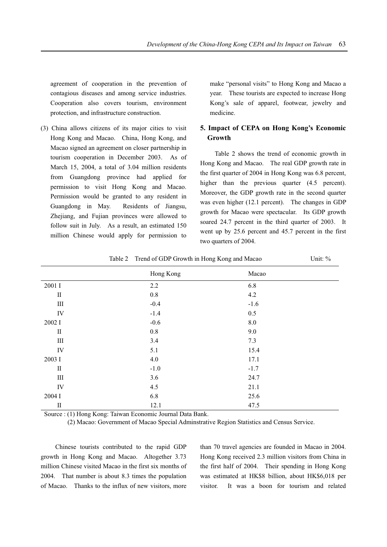agreement of cooperation in the prevention of contagious diseases and among service industries. Cooperation also covers tourism, environment protection, and infrastructure construction.

(3) China allows citizens of its major cities to visit Hong Kong and Macao. China, Hong Kong, and Macao signed an agreement on closer partnership in tourism cooperation in December 2003. As of March 15, 2004, a total of 3.04 million residents from Guangdong province had applied for permission to visit Hong Kong and Macao. Permission would be granted to any resident in Guangdong in May. Residents of Jiangsu, Zhejiang, and Fujian provinces were allowed to follow suit in July. As a result, an estimated 150 million Chinese would apply for permission to

make "personal visits" to Hong Kong and Macao a year. These tourists are expected to increase Hong Kong's sale of apparel, footwear, jewelry and medicine.

# **5. Impact of CEPA on Hong Kong's Economic Growth**

Table 2 shows the trend of economic growth in Hong Kong and Macao. The real GDP growth rate in the first quarter of 2004 in Hong Kong was 6.8 percent, higher than the previous quarter  $(4.5$  percent). Moreover, the GDP growth rate in the second quarter was even higher (12.1 percent). The changes in GDP growth for Macao were spectacular. Its GDP growth soared 24.7 percent in the third quarter of 2003. It went up by 25.6 percent and 45.7 percent in the first two quarters of 2004.

|              | Hong Kong | Macao   |
|--------------|-----------|---------|
| 2001 I       | 2.2       | 6.8     |
| $\mathbf{I}$ | $0.8\,$   | 4.2     |
| $\rm III$    | $-0.4$    | $-1.6$  |
| IV           | $-1.4$    | 0.5     |
| 2002 I       | $-0.6$    | $8.0\,$ |
| $\rm II$     | 0.8       | 9.0     |
| $\rm III$    | 3.4       | 7.3     |
| IV           | 5.1       | 15.4    |
| 2003 I       | 4.0       | 17.1    |
| $\rm II$     | $-1.0$    | $-1.7$  |
| $\rm III$    | 3.6       | 24.7    |
| IV           | 4.5       | 21.1    |
| 2004 I       | 6.8       | 25.6    |
| $\rm II$     | 12.1      | 47.5    |

Table 2 Trend of GDP Growth in Hong Kong and Macao Unit: %

Source : (1) Hong Kong: Taiwan Economic Journal Data Bank.

(2) Macao: Government of Macao Special Adminstrative Region Statistics and Census Service.

Chinese tourists contributed to the rapid GDP growth in Hong Kong and Macao. Altogether 3.73 million Chinese visited Macao in the first six months of 2004. That number is about 8.3 times the population of Macao. Thanks to the influx of new visitors, more

than 70 travel agencies are founded in Macao in 2004. Hong Kong received 2.3 million visitors from China in the first half of 2004. Their spending in Hong Kong was estimated at HK\$8 billion, about HK\$6,018 per visitor. It was a boon for tourism and related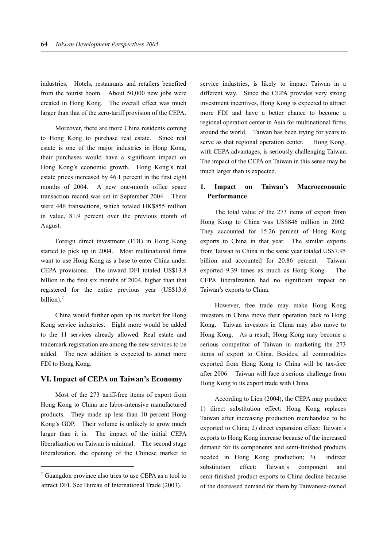industries. Hotels, restaurants and retailers benefited from the tourist boom. About 50,000 new jobs were created in Hong Kong. The overall effect was much larger than that of the zero-tariff provision of the CEPA.

Moreover, there are more China residents coming to Hong Kong to purchase real estate. Since real estate is one of the major industries in Hong Kong, their purchases would have a significant impact on Hong Kong's economic growth. Hong Kong's real estate prices increased by 46.1 percent in the first eight months of 2004. A new one-month office space transaction record was set in September 2004. There were 446 transactions, which totaled HK\$855 million in value, 81.9 percent over the previous month of August.

Foreign direct investment (FDI) in Hong Kong started to pick up in 2004. Most multinational firms want to use Hong Kong as a base to enter China under CEPA provisions. The inward DFI totaled US\$13.8 billion in the first six months of 2004, higher than that registered for the entire previous year (US\$13.6 billion).<sup>7</sup>

China would further open up its market for Hong Kong service industries. Eight more would be added to the 11 services already allowed. Real estate and trademark registration are among the new services to be added. The new addition is expected to attract more FDI to Hong Kong.

# **VI. Impact of CEPA on Taiwan's Economy**

Most of the 273 tariff-free items of export from Hong Kong to China are labor-intensive manufactured products. They made up less than 10 percent Hong Kong's GDP. Their volume is unlikely to grow much larger than it is. The impact of the initial CEPA liberalization on Taiwan is minimal. The second stage liberalization, the opening of the Chinese market to

 $\overline{a}$ 

service industries, is likely to impact Taiwan in a different way. Since the CEPA provides very strong investment incentives, Hong Kong is expected to attract more FDI and have a better chance to become a regional operation center in Asia for multinational firms around the world. Taiwan has been trying for years to serve as that regional operation center. Hong Kong, with CEPA advantages, is seriously challenging Taiwan. The impact of the CEPA on Taiwan in this sense may be much larger than is expected.

# **1. Impact on Taiwan's Macroeconomic Performance**

The total value of the 273 items of export from Hong Kong to China was US\$846 million in 2002. They accounted for 15.26 percent of Hong Kong exports to China in that year. The similar exports from Taiwan to China in the same year totaled US\$7.95 billion and accounted for 20.86 percent. Taiwan exported 9.39 times as much as Hong Kong. The CEPA liberalization had no significant impact on Taiwan's exports to China.

However, free trade may make Hong Kong investors in China move their operation back to Hong Kong. Taiwan investors in China may also move to Hong Kong. As a result, Hong Kong may become a serious competitor of Taiwan in marketing the 273 items of export to China. Besides, all commodities exported from Hong Kong to China will be tax-free after 2006. Taiwan will face a serious challenge from Hong Kong to its export trade with China.

According to Lien (2004), the CEPA may produce: 1) direct substitution effect: Hong Kong replaces Taiwan after increasing production merchandise to be exported to China; 2) direct expansion effect: Taiwan's exports to Hong Kong increase because of the increased demand for its components and semi-finished products needed in Hong Kong production; 3) indirect substitution effect: Taiwan's component and semi-finished product exports to China decline because of the decreased demand for them by Taiwanese-owned

<sup>&</sup>lt;sup>7</sup> Guangdon province also tries to use CEPA as a tool to attract DFI. See Bureau of International Trade (2003).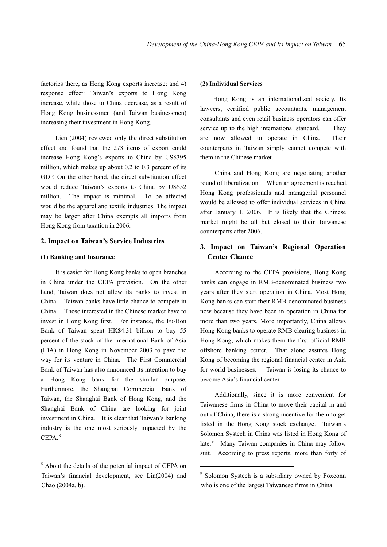factories there, as Hong Kong exports increase; and 4) response effect: Taiwan's exports to Hong Kong increase, while those to China decrease, as a result of Hong Kong businessmen (and Taiwan businessmen) increasing their investment in Hong Kong.

Lien (2004) reviewed only the direct substitution effect and found that the 273 items of export could increase Hong Kong's exports to China by US\$395 million, which makes up about 0.2 to 0.3 percent of its GDP. On the other hand, the direct substitution effect would reduce Taiwan's exports to China by US\$52 million. The impact is minimal. To be affected would be the apparel and textile industries. The impact may be larger after China exempts all imports from Hong Kong from taxation in 2006.

## **2. Impact on Taiwan's Service Industries**

#### **(1) Banking and Insurance**

It is easier for Hong Kong banks to open branches in China under the CEPA provision. On the other hand, Taiwan does not allow its banks to invest in China. Taiwan banks have little chance to compete in China. Those interested in the Chinese market have to invest in Hong Kong first. For instance, the Fu-Bon Bank of Taiwan spent HK\$4.31 billion to buy 55 percent of the stock of the International Bank of Asia (IBA) in Hong Kong in November 2003 to pave the way for its venture in China. The First Commercial Bank of Taiwan has also announced its intention to buy a Hong Kong bank for the similar purpose. Furthermore, the Shanghai Commercial Bank of Taiwan, the Shanghai Bank of Hong Kong, and the Shanghai Bank of China are looking for joint investment in China. It is clear that Taiwan's banking industry is the one most seriously impacted by the CEPA.<sup>8</sup>

 $\overline{a}$ 

#### **(2) Individual Services**

Hong Kong is an internationalized society. Its lawyers, certified public accountants, management consultants and even retail business operators can offer service up to the high international standard. They are now allowed to operate in China. Their counterparts in Taiwan simply cannot compete with them in the Chinese market.

China and Hong Kong are negotiating another round of liberalization. When an agreement is reached, Hong Kong professionals and managerial personnel would be allowed to offer individual services in China after January 1, 2006. It is likely that the Chinese market might be all but closed to their Taiwanese counterparts after 2006.

# **3. Impact on Taiwan's Regional Operation Center Chance**

According to the CEPA provisions, Hong Kong banks can engage in RMB-denominated business two years after they start operation in China. Most Hong Kong banks can start their RMB-denominated business now because they have been in operation in China for more than two years. More importantly, China allows Hong Kong banks to operate RMB clearing business in Hong Kong, which makes them the first official RMB offshore banking center. That alone assures Hong Kong of becoming the regional financial center in Asia for world businesses. Taiwan is losing its chance to become Asia's financial center.

Additionally, since it is more convenient for Taiwanese firms in China to move their capital in and out of China, there is a strong incentive for them to get listed in the Hong Kong stock exchange. Taiwan's Solomon Systech in China was listed in Hong Kong of late.<sup>9</sup> Many Taiwan companies in China may follow suit. According to press reports, more than forty of

<sup>&</sup>lt;sup>8</sup> About the details of the potential impact of CEPA on -Taiwan's financial development, see Lin(2004) and Chao (2004a, b).

<sup>9</sup> Solomon Systech is a subsidiary owned by Foxconn who is one of the largest Taiwanese firms in China.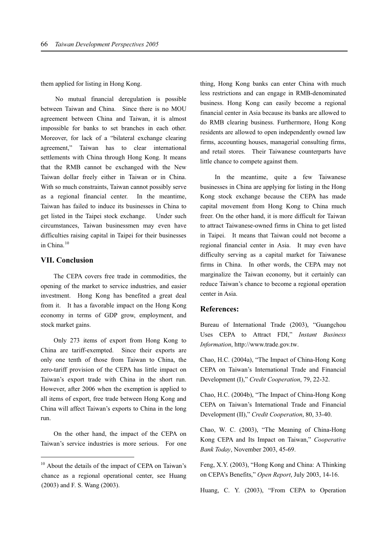them applied for listing in Hong Kong.

No mutual financial deregulation is possible between Taiwan and China. Since there is no MOU agreement between China and Taiwan, it is almost impossible for banks to set branches in each other. Moreover, for lack of a "bilateral exchange clearing agreement," Taiwan has to clear international settlements with China through Hong Kong. It means that the RMB cannot be exchanged with the New Taiwan dollar freely either in Taiwan or in China. With so much constraints, Taiwan cannot possibly serve as a regional financial center. In the meantime, Taiwan has failed to induce its businesses in China to get listed in the Taipei stock exchange. Under such circumstances, Taiwan businessmen may even have difficulties raising capital in Taipei for their businesses in China.<sup>10</sup>

# **VII. Conclusion**

 $\overline{a}$ 

The CEPA covers free trade in commodities, the opening of the market to service industries, and easier investment. Hong Kong has benefited a great deal from it. It has a favorable impact on the Hong Kong economy in terms of GDP grow, employment, and stock market gains.

Only 273 items of export from Hong Kong to China are tariff-exempted. Since their exports are only one tenth of those from Taiwan to China, the zero-tariff provision of the CEPA has little impact on Taiwan's export trade with China in the short run. However, after 2006 when the exemption is applied to all items of export, free trade between Hong Kong and China will affect Taiwan's exports to China in the long run.

On the other hand, the impact of the CEPA on Taiwan's service industries is more serious. For one thing, Hong Kong banks can enter China with much less restrictions and can engage in RMB-denominated business. Hong Kong can easily become a regional financial center in Asia because its banks are allowed to do RMB clearing business. Furthermore, Hong Kong residents are allowed to open independently owned law firms, accounting houses, managerial consulting firms, and retail stores. Their Taiwanese counterparts have little chance to compete against them.

In the meantime, quite a few Taiwanese businesses in China are applying for listing in the Hong Kong stock exchange because the CEPA has made capital movement from Hong Kong to China much freer. On the other hand, it is more difficult for Taiwan to attract Taiwanese-owned firms in China to get listed in Taipei. It means that Taiwan could not become a regional financial center in Asia. It may even have difficulty serving as a capital market for Taiwanese firms in China. In other words, the CEPA may not marginalize the Taiwan economy, but it certainly can reduce Taiwan's chance to become a regional operation center in Asia.

# **References:**

Bureau of International Trade (2003), "Guangchou Uses CEPA to Attract FDI," *Instant Business Information*, http://www.trade.gov.tw.

Chao, H.C. (2004a), "The Impact of China-Hong Kong CEPA on Taiwan's International Trade and Financial Development (I)," *Credit Cooperation*, 79, 22-32.

Chao, H.C. (2004b), "The Impact of China-Hong Kong CEPA on Taiwan's International Trade and Financial Development (II)," *Credit Cooperation*, 80, 33-40.

Chao, W. C. (2003), "The Meaning of China-Hong Kong CEPA and Its Impact on Taiwan," *Cooperative Bank Today*, November 2003, 45-69.

Feng, X.Y. (2003), "Hong Kong and China: A Thinking on CEPA's Benefits," *Open Report*, July 2003, 14-16.

Huang, C. Y. (2003), "From CEPA to Operation

 $10$  About the details of the impact of CEPA on Taiwan's chance as a regional operational center, see Huang (2003) and F. S. Wang (2003).